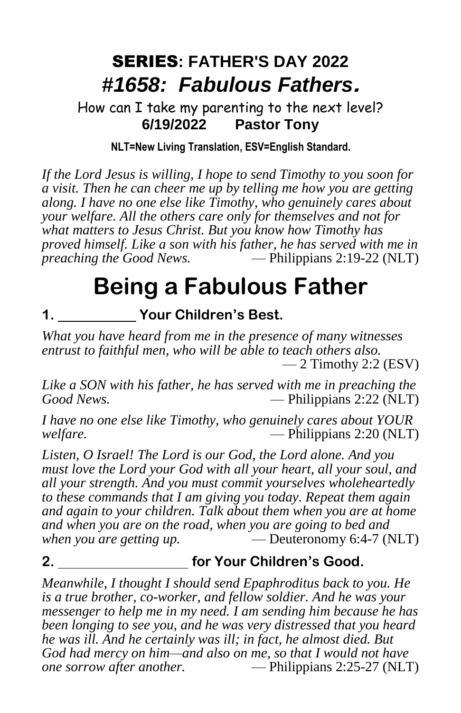## SERIES**: FATHER'S DAY 2022** *#1658: Fabulous Fathers*.

How can I take my parenting to the next level? **6/19/2022 Pastor Tony**

## **NLT=New Living Translation, ESV=English Standard.**

*If the Lord Jesus is willing, I hope to send Timothy to you soon for a visit. Then he can cheer me up by telling me how you are getting along. I have no one else like Timothy, who genuinely cares about your welfare. All the others care only for themselves and not for what matters to Jesus Christ. But you know how Timothy has proved himself. Like a son with his father, he has served with me in preaching the Good News.* — Philippians 2:19-22 (NLT)

## **Being a Fabulous Father**

**1. Your Children's Best.**

*What you have heard from me in the presence of many witnesses entrust to faithful men, who will be able to teach others also.*  $-2$  Timothy 2:2 (ESV)

*Like a SON with his father, he has served with me in preaching the Good News.* — Philippians 2:22 (NLT)

*I have no one else like Timothy, who genuinely cares about YOUR welfare.* — Philippians 2:20 (NLT)

*Listen, O Israel! The Lord is our God, the Lord alone. And you must love the Lord your God with all your heart, all your soul, and all your strength. And you must commit yourselves wholeheartedly to these commands that I am giving you today. Repeat them again and again to your children. Talk about them when you are at home and when you are on the road, when you are going to bed and when you are getting up.* — Deuteronomy 6:4-7 (NLT)

## **2. for Your Children's Good.**

*Meanwhile, I thought I should send Epaphroditus back to you. He is a true brother, co-worker, and fellow soldier. And he was your messenger to help me in my need. I am sending him because he has been longing to see you, and he was very distressed that you heard he was ill. And he certainly was ill; in fact, he almost died. But God had mercy on him—and also on me, so that I would not have one sorrow after another.* — Philippians 2:25-27 (NLT)